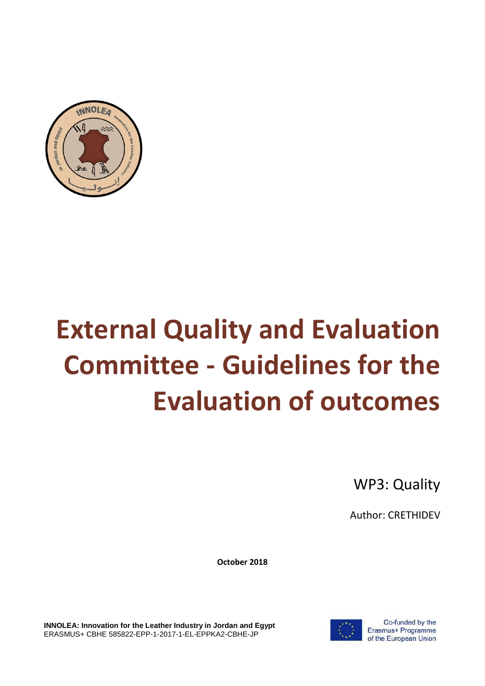

# **External Quality and Evaluation Committee - Guidelines for the Evaluation of outcomes**

WP3: Quality

Author: CRETHIDEV

**October 2018**

**INNOLEA: Innovation for the Leather Industry in Jordan and Egypt** ERASMUS+ CBHE 585822-EPP-1-2017-1-EL-EPPKA2-CBHE-JP



Co-funded by the Erasmus+ Programme of the European Union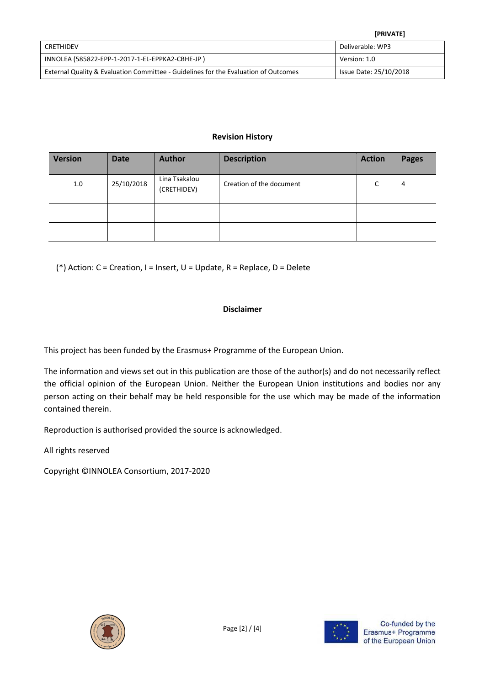|                                                                                     | <b>[PRIVATE]</b>       |
|-------------------------------------------------------------------------------------|------------------------|
| CRETHIDEV                                                                           | Deliverable: WP3       |
| INNOLEA (585822-EPP-1-2017-1-EL-EPPKA2-CBHE-JP)                                     | Version: 1.0           |
| External Quality & Evaluation Committee - Guidelines for the Evaluation of Outcomes | Issue Date: 25/10/2018 |

### **Revision History**

| <b>Version</b> | <b>Date</b> | <b>Author</b>                | <b>Description</b>       | <b>Action</b> | <b>Pages</b> |
|----------------|-------------|------------------------------|--------------------------|---------------|--------------|
| 1.0            | 25/10/2018  | Lina Tsakalou<br>(CRETHIDEV) | Creation of the document | r             | 4            |
|                |             |                              |                          |               |              |
|                |             |                              |                          |               |              |

(\*) Action: C = Creation, I = Insert, U = Update, R = Replace, D = Delete

### **Disclaimer**

This project has been funded by the Erasmus+ Programme of the European Union.

The information and views set out in this publication are those of the author(s) and do not necessarily reflect the official opinion of the European Union. Neither the European Union institutions and bodies nor any person acting on their behalf may be held responsible for the use which may be made of the information contained therein.

Reproduction is authorised provided the source is acknowledged.

All rights reserved

Copyright ©INNOLEA Consortium, 2017-2020





Co-funded by the Erasmus+ Programme of the European Union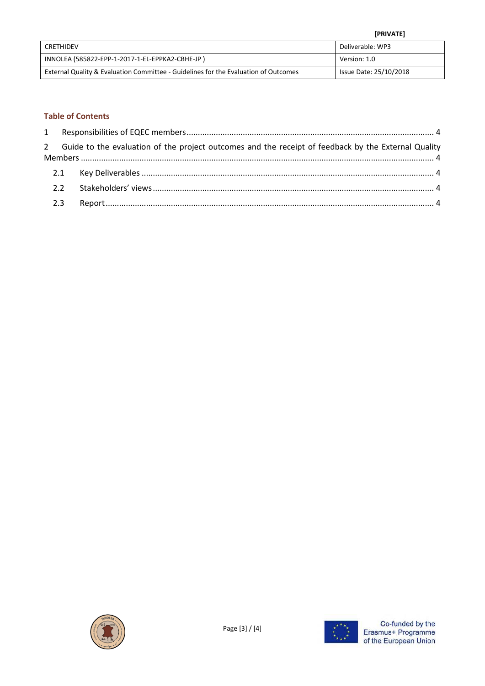|                                                                                     | <b>[PRIVATE]</b>       |
|-------------------------------------------------------------------------------------|------------------------|
| CRETHIDEV                                                                           | Deliverable: WP3       |
| INNOLEA (585822-EPP-1-2017-1-EL-EPPKA2-CBHE-JP)                                     | Version: 1.0           |
| External Quality & Evaluation Committee - Guidelines for the Evaluation of Outcomes | Issue Date: 25/10/2018 |

## **Table of Contents**

|  | 2 Guide to the evaluation of the project outcomes and the receipt of feedback by the External Quality |  |
|--|-------------------------------------------------------------------------------------------------------|--|
|  |                                                                                                       |  |
|  |                                                                                                       |  |
|  |                                                                                                       |  |
|  |                                                                                                       |  |